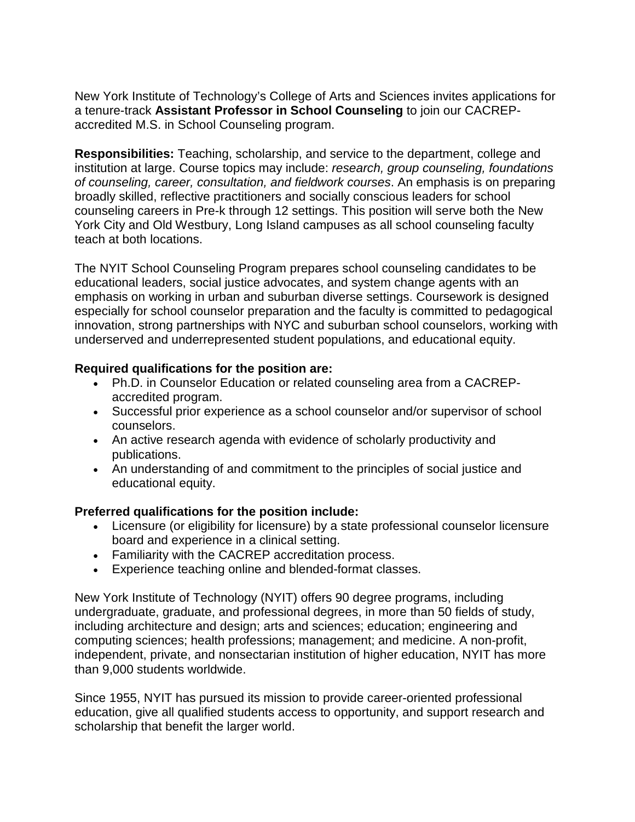New York Institute of Technology's College of Arts and Sciences invites applications for a tenure-track **Assistant Professor in School Counseling** to join our CACREPaccredited M.S. in School Counseling program.

**Responsibilities:** Teaching, scholarship, and service to the department, college and institution at large. Course topics may include: *research, group counseling, foundations of counseling, career, consultation, and fieldwork courses*. An emphasis is on preparing broadly skilled, reflective practitioners and socially conscious leaders for school counseling careers in Pre-k through 12 settings. This position will serve both the New York City and Old Westbury, Long Island campuses as all school counseling faculty teach at both locations.

The NYIT School Counseling Program prepares school counseling candidates to be educational leaders, social justice advocates, and system change agents with an emphasis on working in urban and suburban diverse settings. Coursework is designed especially for school counselor preparation and the faculty is committed to pedagogical innovation, strong partnerships with NYC and suburban school counselors, working with underserved and underrepresented student populations, and educational equity.

## **Required qualifications for the position are:**

- Ph.D. in Counselor Education or related counseling area from a CACREPaccredited program.
- Successful prior experience as a school counselor and/or supervisor of school counselors.
- An active research agenda with evidence of scholarly productivity and publications.
- An understanding of and commitment to the principles of social justice and educational equity.

## **Preferred qualifications for the position include:**

- Licensure (or eligibility for licensure) by a state professional counselor licensure board and experience in a clinical setting.
- Familiarity with the CACREP accreditation process.
- Experience teaching online and blended-format classes.

New York Institute of Technology (NYIT) offers 90 degree programs, including undergraduate, graduate, and professional degrees, in more than 50 fields of study, including architecture and design; arts and sciences; education; engineering and computing sciences; health professions; management; and medicine. A non-profit, independent, private, and nonsectarian institution of higher education, NYIT has more than 9,000 students worldwide.

Since 1955, NYIT has pursued its mission to provide career-oriented professional education, give all qualified students access to opportunity, and support research and scholarship that benefit the larger world.